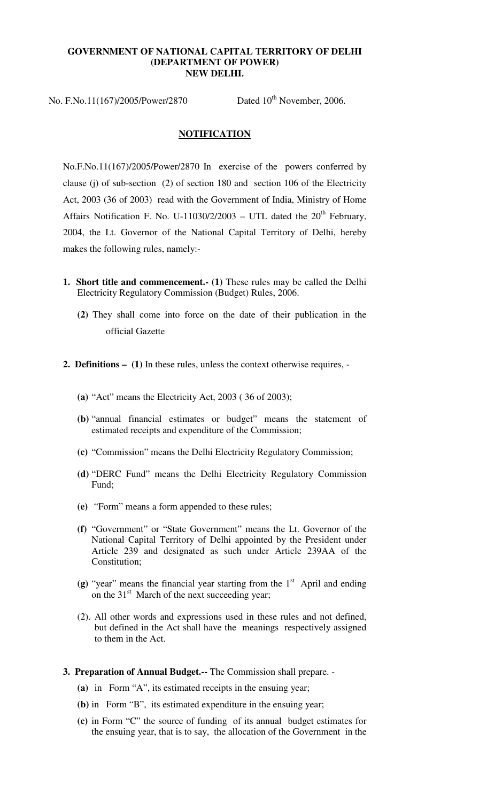#### **GOVERNMENT OF NATIONAL CAPITAL TERRITORY OF DELHI (DEPARTMENT OF POWER) NEW DELHI.**

No. F.No.11(167)/2005/Power/2870 Dated  $10^{th}$  November, 2006.

#### **NOTIFICATION**

No.F.No.11(167)/2005/Power/2870 In exercise of the powers conferred by clause (j) of sub-section (2) of section 180 and section 106 of the Electricity Act, 2003 (36 of 2003) read with the Government of India, Ministry of Home Affairs Notification F. No. U-11030/2/2003 – UTL dated the  $20<sup>th</sup>$  February, 2004, the Lt. Governor of the National Capital Territory of Delhi, hereby makes the following rules, namely:-

- **1. Short title and commencement.- (1)** These rules may be called the Delhi Electricity Regulatory Commission (Budget) Rules, 2006.
	- **(2)** They shall come into force on the date of their publication in the official Gazette
- **2. Definitions – (1)** In these rules, unless the context otherwise requires,
	- **(a)** "Act" means the Electricity Act, 2003 ( 36 of 2003);
	- **(b)** "annual financial estimates or budget" means the statement of estimated receipts and expenditure of the Commission;
	- **(c)** "Commission" means the Delhi Electricity Regulatory Commission;
	- **(d)** "DERC Fund" means the Delhi Electricity Regulatory Commission Fund;
	- **(e)** "Form" means a form appended to these rules;
	- **(f)** "Government" or "State Government" means the Lt. Governor of the National Capital Territory of Delhi appointed by the President under Article 239 and designated as such under Article 239AA of the Constitution;
	- (g) "year" means the financial year starting from the  $1<sup>st</sup>$  April and ending on the  $31<sup>st</sup>$  March of the next succeeding year;
	- (2). All other words and expressions used in these rules and not defined, but defined in the Act shall have the meanings respectively assigned to them in the Act.
- **3. Preparation of Annual Budget.--** The Commission shall prepare.
	- **(a)** in Form "A", its estimated receipts in the ensuing year;
	- **(b)** in Form "B", its estimated expenditure in the ensuing year;
	- **(c)** in Form "C" the source of funding of its annual budget estimates for the ensuing year, that is to say, the allocation of the Government in the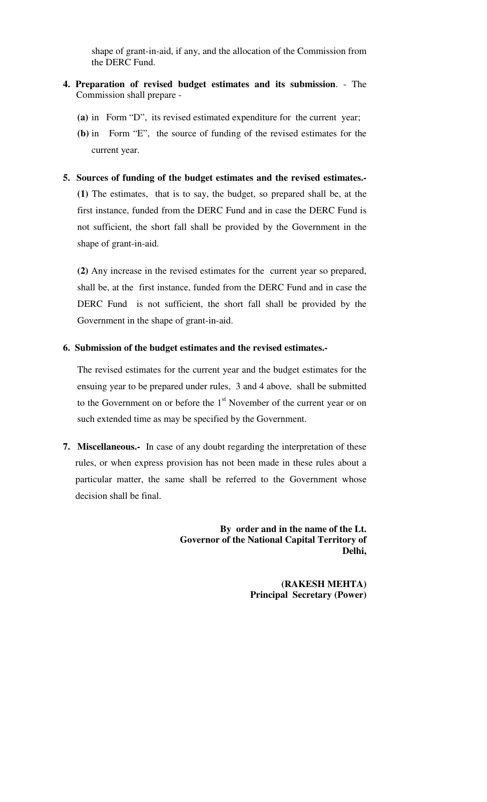shape of grant-in-aid, if any, and the allocation of the Commission from the DERC Fund.

- **4. Preparation of revised budget estimates and its submission**. The Commission shall prepare -
	- **(a)** in Form "D", its revised estimated expenditure for the current year;
	- **(b)** in Form "E", the source of funding of the revised estimates for the current year.
- **5. Sources of funding of the budget estimates and the revised estimates.-**

**(1)** The estimates, that is to say, the budget, so prepared shall be, at the first instance, funded from the DERC Fund and in case the DERC Fund is not sufficient, the short fall shall be provided by the Government in the shape of grant-in-aid.

**(2)** Any increase in the revised estimates for the current year so prepared, shall be, at the first instance, funded from the DERC Fund and in case the DERC Fund is not sufficient, the short fall shall be provided by the Government in the shape of grant-in-aid.

#### **6. Submission of the budget estimates and the revised estimates.-**

The revised estimates for the current year and the budget estimates for the ensuing year to be prepared under rules, 3 and 4 above, shall be submitted to the Government on or before the 1<sup>st</sup> November of the current year or on such extended time as may be specified by the Government.

**7. Miscellaneous.-** In case of any doubt regarding the interpretation of these rules, or when express provision has not been made in these rules about a particular matter, the same shall be referred to the Government whose decision shall be final.

> **By order and in the name of the Lt. Governor of the National Capital Territory of Delhi,**

> > **(RAKESH MEHTA) Principal Secretary (Power)**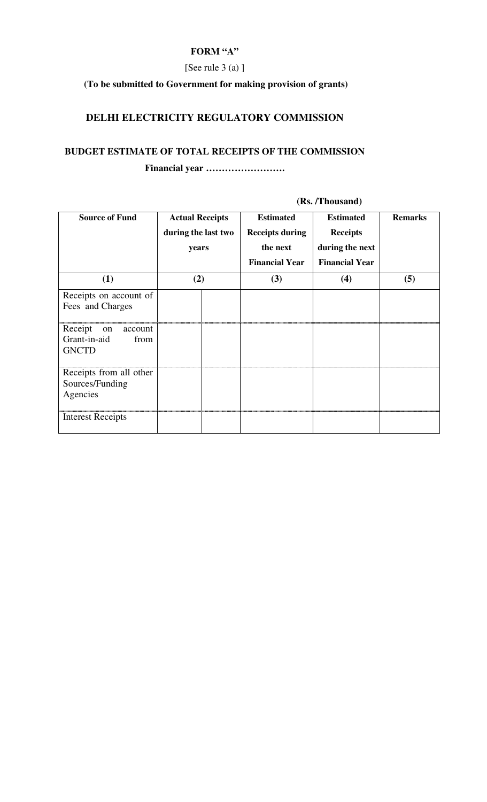### **FORM "A"**

## [See rule 3 (a) ]

# **(To be submitted to Government for making provision of grants)**

# **DELHI ELECTRICITY REGULATORY COMMISSION**

# **BUDGET ESTIMATE OF TOTAL RECEIPTS OF THE COMMISSION**

**Financial year …………………….**

| <b>Source of Fund</b>                                            | <b>Actual Receipts</b><br>during the last two<br>years | <b>Estimated</b><br><b>Receipts during</b><br>the next<br><b>Financial Year</b> | <b>Estimated</b><br><b>Receipts</b><br>during the next<br><b>Financial Year</b> | <b>Remarks</b> |
|------------------------------------------------------------------|--------------------------------------------------------|---------------------------------------------------------------------------------|---------------------------------------------------------------------------------|----------------|
| (1)                                                              | (2)                                                    | (3)                                                                             | (4)                                                                             | (5)            |
| Receipts on account of<br>Fees and Charges                       |                                                        |                                                                                 |                                                                                 |                |
| Receipt<br>on<br>account<br>Grant-in-aid<br>from<br><b>GNCTD</b> |                                                        |                                                                                 |                                                                                 |                |
| Receipts from all other<br>Sources/Funding<br>Agencies           |                                                        |                                                                                 |                                                                                 |                |
| <b>Interest Receipts</b>                                         |                                                        |                                                                                 |                                                                                 |                |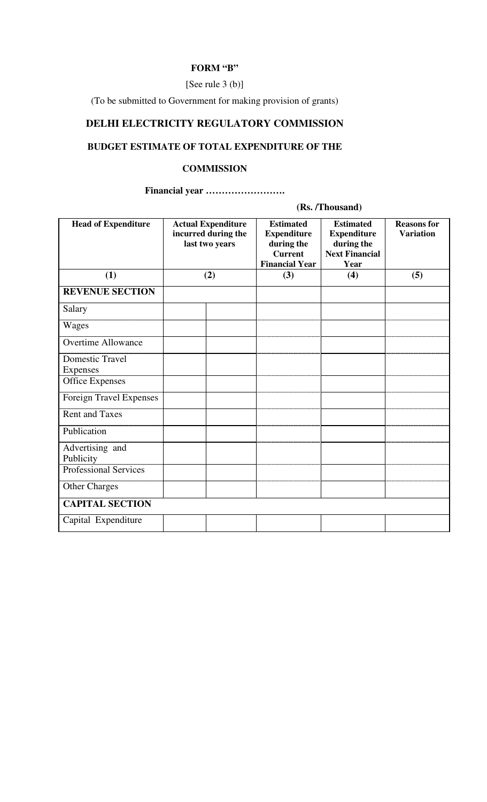### **FORM "B"**

### [See rule 3 (b)]

(To be submitted to Government for making provision of grants)

# **DELHI ELECTRICITY REGULATORY COMMISSION**

## **BUDGET ESTIMATE OF TOTAL EXPENDITURE OF THE**

### **COMMISSION**

## **Financial year …………………….**

| <b>Head of Expenditure</b>                | <b>Actual Expenditure</b><br>incurred during the<br>last two years |  | <b>Estimated</b><br><b>Expenditure</b><br>during the<br><b>Current</b><br><b>Financial Year</b> | <b>Estimated</b><br><b>Expenditure</b><br>during the<br><b>Next Financial</b><br>Year | <b>Reasons for</b><br><b>Variation</b> |  |
|-------------------------------------------|--------------------------------------------------------------------|--|-------------------------------------------------------------------------------------------------|---------------------------------------------------------------------------------------|----------------------------------------|--|
| (1)                                       | (2)                                                                |  | (3)                                                                                             | (4)                                                                                   | (5)                                    |  |
| <b>REVENUE SECTION</b>                    |                                                                    |  |                                                                                                 |                                                                                       |                                        |  |
| Salary                                    |                                                                    |  |                                                                                                 |                                                                                       |                                        |  |
| Wages                                     |                                                                    |  |                                                                                                 |                                                                                       |                                        |  |
| <b>Overtime Allowance</b>                 |                                                                    |  |                                                                                                 |                                                                                       |                                        |  |
| <b>Domestic Travel</b><br><b>Expenses</b> |                                                                    |  |                                                                                                 |                                                                                       |                                        |  |
| <b>Office Expenses</b>                    |                                                                    |  |                                                                                                 |                                                                                       |                                        |  |
| Foreign Travel Expenses                   |                                                                    |  |                                                                                                 |                                                                                       |                                        |  |
| <b>Rent and Taxes</b>                     |                                                                    |  |                                                                                                 |                                                                                       |                                        |  |
| Publication                               |                                                                    |  |                                                                                                 |                                                                                       |                                        |  |
| Advertising and<br>Publicity              |                                                                    |  |                                                                                                 |                                                                                       |                                        |  |
| <b>Professional Services</b>              |                                                                    |  |                                                                                                 |                                                                                       |                                        |  |
| <b>Other Charges</b>                      |                                                                    |  |                                                                                                 |                                                                                       |                                        |  |
| <b>CAPITAL SECTION</b>                    |                                                                    |  |                                                                                                 |                                                                                       |                                        |  |
| Capital Expenditure                       |                                                                    |  |                                                                                                 |                                                                                       |                                        |  |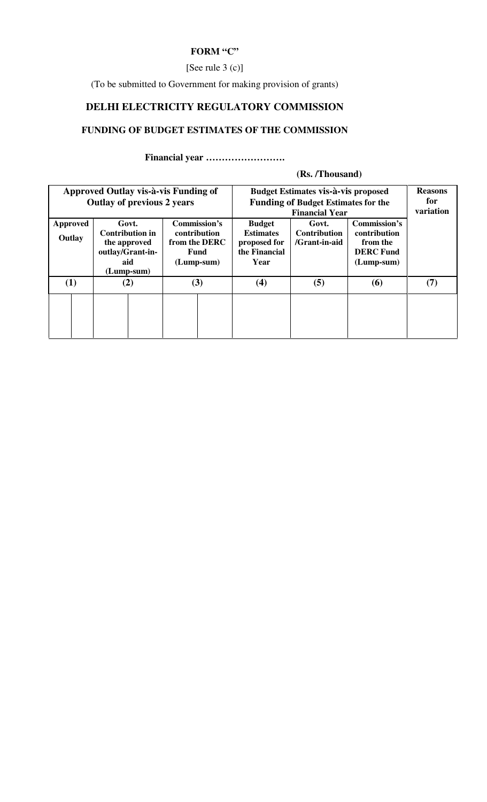## **FORM "C"**

### [See rule 3 (c)]

(To be submitted to Government for making provision of grants)

# **DELHI ELECTRICITY REGULATORY COMMISSION**

# **FUNDING OF BUDGET ESTIMATES OF THE COMMISSION**

**Financial year …………………….**

| Approved Outlay vis-à-vis Funding of<br><b>Outlay of previous 2 years</b> |                                                                                          | <b>Budget Estimates vis-à-vis proposed</b><br><b>Funding of Budget Estimates for the</b> | <b>Reasons</b><br>for<br>variation                                         |                                               |                                                                              |     |
|---------------------------------------------------------------------------|------------------------------------------------------------------------------------------|------------------------------------------------------------------------------------------|----------------------------------------------------------------------------|-----------------------------------------------|------------------------------------------------------------------------------|-----|
| <b>Approved</b><br>Outlay                                                 | Govt.<br><b>Contribution in</b><br>the approved<br>outlay/Grant-in-<br>aid<br>(Lump-sum) | Commission's<br>contribution<br>from the DERC<br>Fund<br>$(Lump-sum)$                    | <b>Budget</b><br><b>Estimates</b><br>proposed for<br>the Financial<br>Year | Govt.<br><b>Contribution</b><br>/Grant-in-aid | Commission's<br>contribution<br>from the<br><b>DERC</b> Fund<br>$(Lump-sum)$ |     |
| (1)                                                                       | (2)                                                                                      | (3)                                                                                      | (4)                                                                        | (5)                                           | (6)                                                                          | (7) |
|                                                                           |                                                                                          |                                                                                          |                                                                            |                                               |                                                                              |     |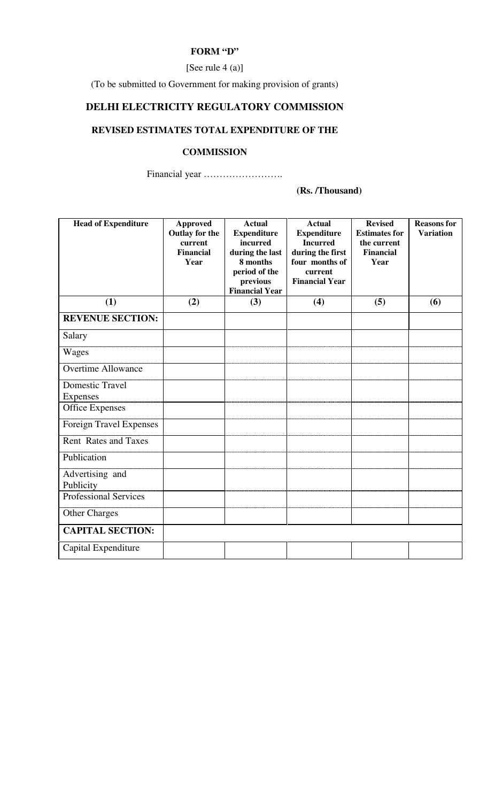### **FORM "D"**

[See rule 4 (a)]

(To be submitted to Government for making provision of grants)

# **DELHI ELECTRICITY REGULATORY COMMISSION**

# **REVISED ESTIMATES TOTAL EXPENDITURE OF THE**

### **COMMISSION**

Financial year …………………….

| <b>Head of Expenditure</b>         | <b>Approved</b><br>Outlay for the<br>current<br><b>Financial</b><br>Year | <b>Actual</b><br><b>Expenditure</b><br>incurred<br>during the last<br>8 months<br>period of the<br>previous<br><b>Financial Year</b> | <b>Actual</b><br><b>Expenditure</b><br><b>Incurred</b><br>during the first<br>four months of<br>current<br><b>Financial Year</b> | <b>Revised</b><br><b>Estimates for</b><br>the current<br><b>Financial</b><br>Year | <b>Reasons for</b><br><b>Variation</b> |
|------------------------------------|--------------------------------------------------------------------------|--------------------------------------------------------------------------------------------------------------------------------------|----------------------------------------------------------------------------------------------------------------------------------|-----------------------------------------------------------------------------------|----------------------------------------|
| (1)                                | (2)                                                                      | (3)                                                                                                                                  | (4)                                                                                                                              | (5)                                                                               | (6)                                    |
| <b>REVENUE SECTION:</b>            |                                                                          |                                                                                                                                      |                                                                                                                                  |                                                                                   |                                        |
| Salary                             |                                                                          |                                                                                                                                      |                                                                                                                                  |                                                                                   |                                        |
| Wages                              |                                                                          |                                                                                                                                      |                                                                                                                                  |                                                                                   |                                        |
| <b>Overtime Allowance</b>          |                                                                          |                                                                                                                                      |                                                                                                                                  |                                                                                   |                                        |
| <b>Domestic Travel</b><br>Expenses |                                                                          |                                                                                                                                      |                                                                                                                                  |                                                                                   |                                        |
| <b>Office Expenses</b>             |                                                                          |                                                                                                                                      |                                                                                                                                  |                                                                                   |                                        |
| Foreign Travel Expenses            |                                                                          |                                                                                                                                      |                                                                                                                                  |                                                                                   |                                        |
| <b>Rent Rates and Taxes</b>        |                                                                          |                                                                                                                                      |                                                                                                                                  |                                                                                   |                                        |
| Publication                        |                                                                          |                                                                                                                                      |                                                                                                                                  |                                                                                   |                                        |
| Advertising and<br>Publicity       |                                                                          |                                                                                                                                      |                                                                                                                                  |                                                                                   |                                        |
| <b>Professional Services</b>       |                                                                          |                                                                                                                                      |                                                                                                                                  |                                                                                   |                                        |
| <b>Other Charges</b>               |                                                                          |                                                                                                                                      |                                                                                                                                  |                                                                                   |                                        |
| <b>CAPITAL SECTION:</b>            |                                                                          |                                                                                                                                      |                                                                                                                                  |                                                                                   |                                        |
| Capital Expenditure                |                                                                          |                                                                                                                                      |                                                                                                                                  |                                                                                   |                                        |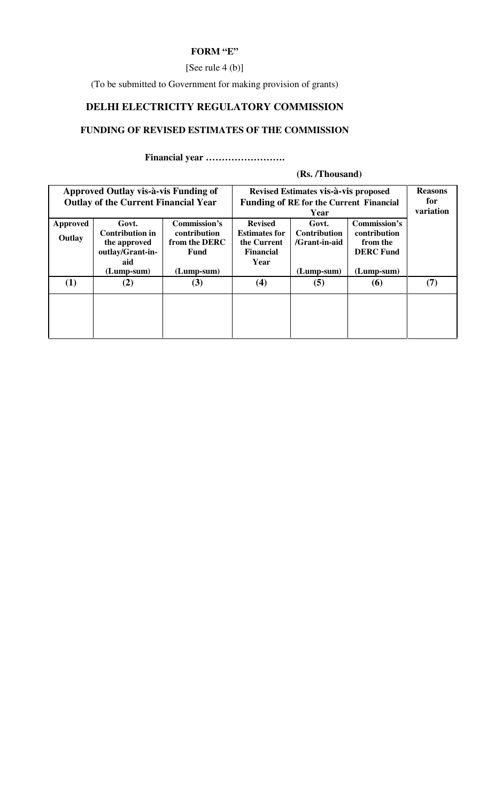## **FORM "E"**

### [See rule 4 (b)]

(To be submitted to Government for making provision of grants)

# **DELHI ELECTRICITY REGULATORY COMMISSION**

# **FUNDING OF REVISED ESTIMATES OF THE COMMISSION**

**Financial year …………………….**

| Approved Outlay vis-à-vis Funding of<br><b>Outlay of the Current Financial Year</b> |                                                                                            |                                                                       | Revised Estimates vis-à-vis proposed<br><b>Funding of RE for the Current Financial</b> | <b>Reasons</b><br>for<br>variation                            |                                                                            |     |
|-------------------------------------------------------------------------------------|--------------------------------------------------------------------------------------------|-----------------------------------------------------------------------|----------------------------------------------------------------------------------------|---------------------------------------------------------------|----------------------------------------------------------------------------|-----|
| Approved<br>Outlay                                                                  | Govt.<br><b>Contribution in</b><br>the approved<br>outlay/Grant-in-<br>aid<br>$(Lump-sum)$ | Commission's<br>contribution<br>from the DERC<br>Fund<br>$(Lump-sum)$ | <b>Revised</b><br><b>Estimates for</b><br>the Current<br><b>Financial</b><br>Year      | Govt.<br><b>Contribution</b><br>/Grant-in-aid<br>$(Lump-sum)$ | Commission's<br>contribution<br>from the<br><b>DERC</b> Fund<br>(Lump-sum) |     |
| (1)                                                                                 | (2)                                                                                        | (3)                                                                   | (4)                                                                                    | (5)                                                           | <b>(6)</b>                                                                 | (7) |
|                                                                                     |                                                                                            |                                                                       |                                                                                        |                                                               |                                                                            |     |